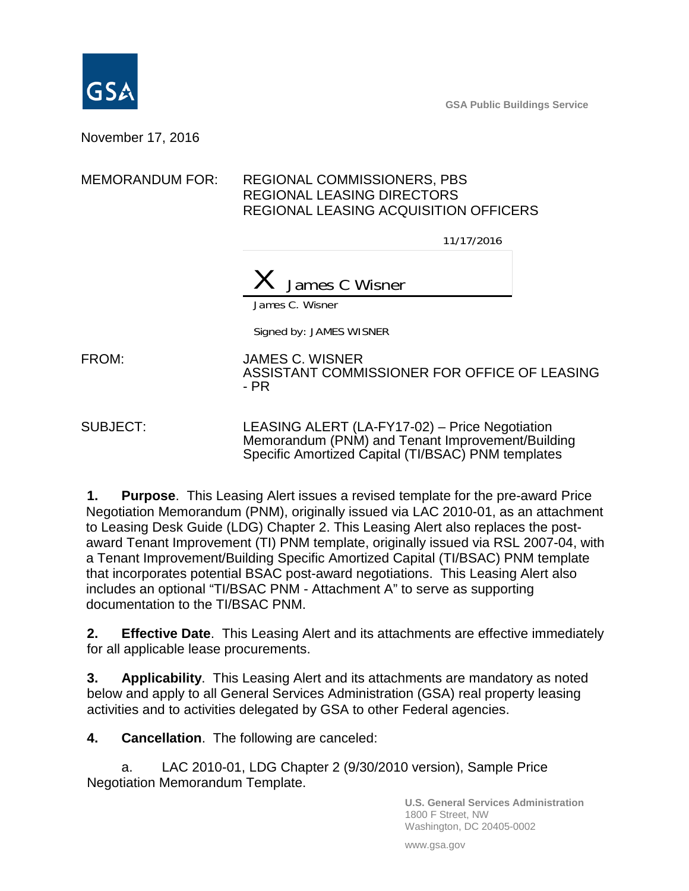

**GSA Public Buildings Service**

November 17, 2016

## MEMORANDUM FOR: REGIONAL COMMISSIONERS, PBS REGIONAL LEASING DIRECTORS REGIONAL LEASING ACQUISITION OFFICERS

11/17/2016



James C. Wisner

Signed by: JAMES WISNER

FROM: JAMES C. WISNER ASSISTANT COMMISSIONER FOR OFFICE OF LEASING - PR

SUBJECT: LEASING ALERT (LA-FY17-02) – Price Negotiation Memorandum (PNM) and Tenant Improvement/Building Specific Amortized Capital (TI/BSAC) PNM templates

**1. Purpose**. This Leasing Alert issues a revised template for the pre-award Price Negotiation Memorandum (PNM), originally issued via LAC 2010-01, as an attachment to Leasing Desk Guide (LDG) Chapter 2. This Leasing Alert also replaces the postaward Tenant Improvement (TI) PNM template, originally issued via RSL 2007-04, with a Tenant Improvement/Building Specific Amortized Capital (TI/BSAC) PNM template that incorporates potential BSAC post-award negotiations. This Leasing Alert also includes an optional "TI/BSAC PNM - Attachment A" to serve as supporting documentation to the TI/BSAC PNM.

**2. Effective Date**. This Leasing Alert and its attachments are effective immediately for all applicable lease procurements.

**3. Applicability**. This Leasing Alert and its attachments are mandatory as noted below and apply to all General Services Administration (GSA) real property leasing activities and to activities delegated by GSA to other Federal agencies.

**4. Cancellation**. The following are canceled:

a. LAC 2010-01, LDG Chapter 2 (9/30/2010 version), Sample Price Negotiation Memorandum Template.

> **U.S. General Services Administration** 1800 F Street, NW Washington, DC 20405-0002

www.gsa.gov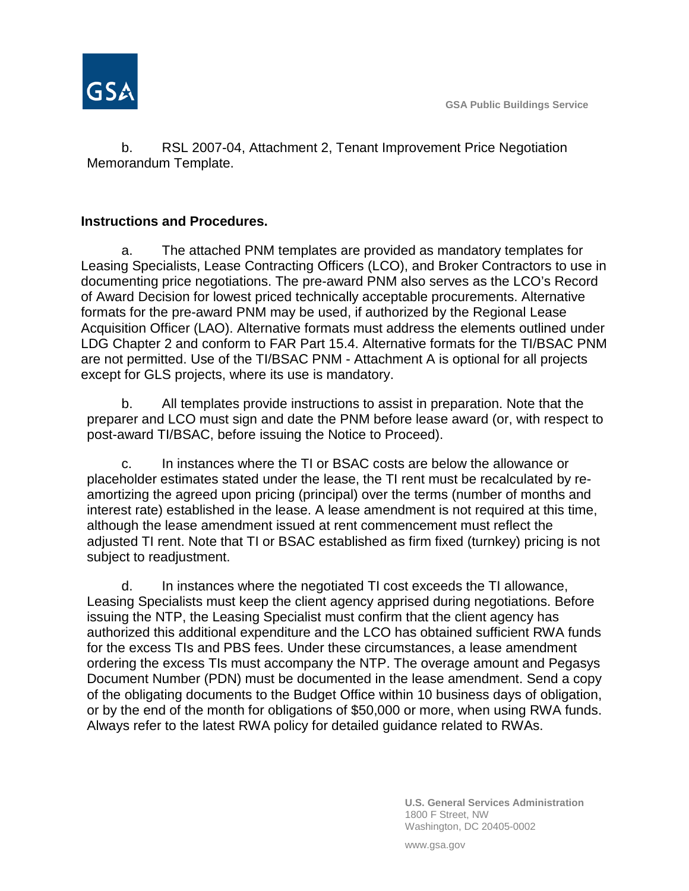

b. RSL 2007-04, Attachment 2, Tenant Improvement Price Negotiation Memorandum Template.

## **Instructions and Procedures.**

a. The attached PNM templates are provided as mandatory templates for Leasing Specialists, Lease Contracting Officers (LCO), and Broker Contractors to use in documenting price negotiations. The pre-award PNM also serves as the LCO's Record of Award Decision for lowest priced technically acceptable procurements. Alternative formats for the pre-award PNM may be used, if authorized by the Regional Lease Acquisition Officer (LAO). Alternative formats must address the elements outlined under LDG Chapter 2 and conform to FAR Part 15.4. Alternative formats for the TI/BSAC PNM are not permitted. Use of the TI/BSAC PNM - Attachment A is optional for all projects except for GLS projects, where its use is mandatory.

b. All templates provide instructions to assist in preparation. Note that the preparer and LCO must sign and date the PNM before lease award (or, with respect to post-award TI/BSAC, before issuing the Notice to Proceed).

c. In instances where the TI or BSAC costs are below the allowance or placeholder estimates stated under the lease, the TI rent must be recalculated by reamortizing the agreed upon pricing (principal) over the terms (number of months and interest rate) established in the lease. A lease amendment is not required at this time, although the lease amendment issued at rent commencement must reflect the adjusted TI rent. Note that TI or BSAC established as firm fixed (turnkey) pricing is not subject to readjustment.

d. In instances where the negotiated TI cost exceeds the TI allowance, Leasing Specialists must keep the client agency apprised during negotiations. Before issuing the NTP, the Leasing Specialist must confirm that the client agency has authorized this additional expenditure and the LCO has obtained sufficient RWA funds for the excess TIs and PBS fees. Under these circumstances, a lease amendment ordering the excess TIs must accompany the NTP. The overage amount and Pegasys Document Number (PDN) must be documented in the lease amendment. Send a copy of the obligating documents to the Budget Office within 10 business days of obligation, or by the end of the month for obligations of \$50,000 or more, when using RWA funds. Always refer to the latest RWA policy for detailed guidance related to RWAs.

> **U.S. General Services Administration** 1800 F Street, NW Washington, DC 20405-0002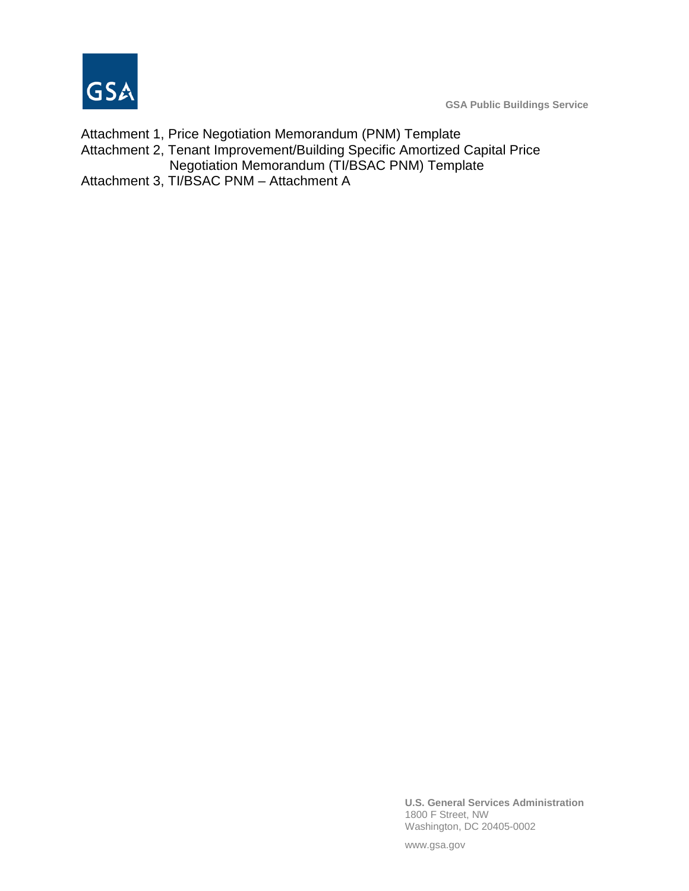

**GSA Public Buildings Service**

Attachment 1, Price Negotiation Memorandum (PNM) Template Attachment 2, Tenant Improvement/Building Specific Amortized Capital Price Negotiation Memorandum (TI/BSAC PNM) Template Attachment 3, TI/BSAC PNM – Attachment A

> **U.S. General Services Administration** 1800 F Street, NW Washington, DC 20405-0002

www.gsa.gov